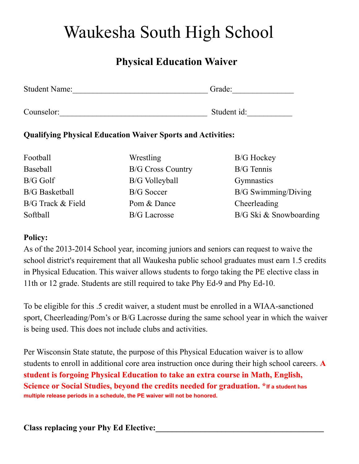# Waukesha South High School

# **Physical Education Waiver**

| <b>Student Name:</b> | Grade:      |  |
|----------------------|-------------|--|
|                      |             |  |
| Counselor:           | Student id: |  |

## **Qualifying Physical Education Waiver Sports and Activities:**

Football Wrestling B/G Hockey Baseball B/G Cross Country B/G Tennis B/G Golf B/G Volleyball Gymnastics B/G Track & Field Pom & Dance Cheerleading

B/G Basketball B/G Soccer B/G Swimming/Diving Softball B/G Lacrosse B/G Ski & Snowboarding

### **Policy:**

As of the 2013-2014 School year, incoming juniors and seniors can request to waive the school district's requirement that all Waukesha public school graduates must earn 1.5 credits in Physical Education. This waiver allows students to forgo taking the PE elective class in 11th or 12 grade. Students are still required to take Phy Ed-9 and Phy Ed-10.

To be eligible for this .5 credit waiver, a student must be enrolled in a WIAA-sanctioned sport, Cheerleading/Pom's or B/G Lacrosse during the same school year in which the waiver is being used. This does not include clubs and activities.

Per Wisconsin State statute, the purpose of this Physical Education waiver is to allow students to enroll in additional core area instruction once during their high school careers. **A student is forgoing Physical Education to take an extra course in Math, English, Science or Social Studies, beyond the credits needed for graduation. \*If <sup>a</sup> student has multiple release periods in a schedule, the PE waiver will not be honored.**

**Class replacing your Phy Ed Elective:\_\_\_\_\_\_\_\_\_\_\_\_\_\_\_\_\_\_\_\_\_\_\_\_\_\_\_\_\_\_\_\_\_\_\_\_\_\_\_\_\_**